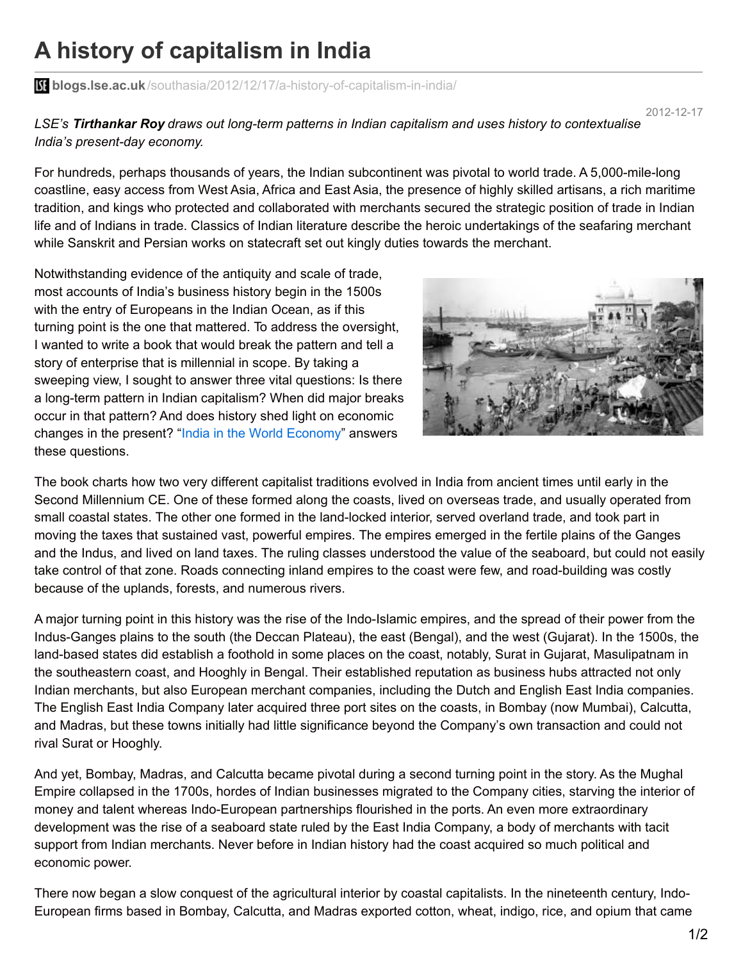## **A history of capitalism in India**

**blogs.lse.ac.uk**[/southasia/2012/12/17/a-history-of-capitalism-in-india/](http://blogs.lse.ac.uk/southasia/2012/12/17/a-history-of-capitalism-in-india/)

2012-12-17

*LSE's Tirthankar Roy draws out long-term patterns in Indian capitalism and uses history to contextualise India's present-day economy.*

For hundreds, perhaps thousands of years, the Indian subcontinent was pivotal to world trade. A 5,000-mile-long coastline, easy access from West Asia, Africa and East Asia, the presence of highly skilled artisans, a rich maritime tradition, and kings who protected and collaborated with merchants secured the strategic position of trade in Indian life and of Indians in trade. Classics of Indian literature describe the heroic undertakings of the seafaring merchant while Sanskrit and Persian works on statecraft set out kingly duties towards the merchant.

Notwithstanding evidence of the antiquity and scale of trade, most accounts of India's business history begin in the 1500s with the entry of Europeans in the Indian Ocean, as if this turning point is the one that mattered. To address the oversight, I wanted to write a book that would break the pattern and tell a story of enterprise that is millennial in scope. By taking a sweeping view, I sought to answer three vital questions: Is there a long-term pattern in Indian capitalism? When did major breaks occur in that pattern? And does history shed light on economic changes in the present? "India in the World [Economy](http://www.cambridge.org/gb/knowledge/isbn/item6628198/India in the World Economy/?site_locale=en_GB)" answers these questions.



The book charts how two very different capitalist traditions evolved in India from ancient times until early in the Second Millennium CE. One of these formed along the coasts, lived on overseas trade, and usually operated from small coastal states. The other one formed in the land-locked interior, served overland trade, and took part in moving the taxes that sustained vast, powerful empires. The empires emerged in the fertile plains of the Ganges and the Indus, and lived on land taxes. The ruling classes understood the value of the seaboard, but could not easily take control of that zone. Roads connecting inland empires to the coast were few, and road-building was costly because of the uplands, forests, and numerous rivers.

A major turning point in this history was the rise of the Indo-Islamic empires, and the spread of their power from the Indus-Ganges plains to the south (the Deccan Plateau), the east (Bengal), and the west (Gujarat). In the 1500s, the land-based states did establish a foothold in some places on the coast, notably, Surat in Gujarat, Masulipatnam in the southeastern coast, and Hooghly in Bengal. Their established reputation as business hubs attracted not only Indian merchants, but also European merchant companies, including the Dutch and English East India companies. The English East India Company later acquired three port sites on the coasts, in Bombay (now Mumbai), Calcutta, and Madras, but these towns initially had little significance beyond the Company's own transaction and could not rival Surat or Hooghly.

And yet, Bombay, Madras, and Calcutta became pivotal during a second turning point in the story. As the Mughal Empire collapsed in the 1700s, hordes of Indian businesses migrated to the Company cities, starving the interior of money and talent whereas Indo-European partnerships flourished in the ports. An even more extraordinary development was the rise of a seaboard state ruled by the East India Company, a body of merchants with tacit support from Indian merchants. Never before in Indian history had the coast acquired so much political and economic power.

There now began a slow conquest of the agricultural interior by coastal capitalists. In the nineteenth century, Indo-European firms based in Bombay, Calcutta, and Madras exported cotton, wheat, indigo, rice, and opium that came